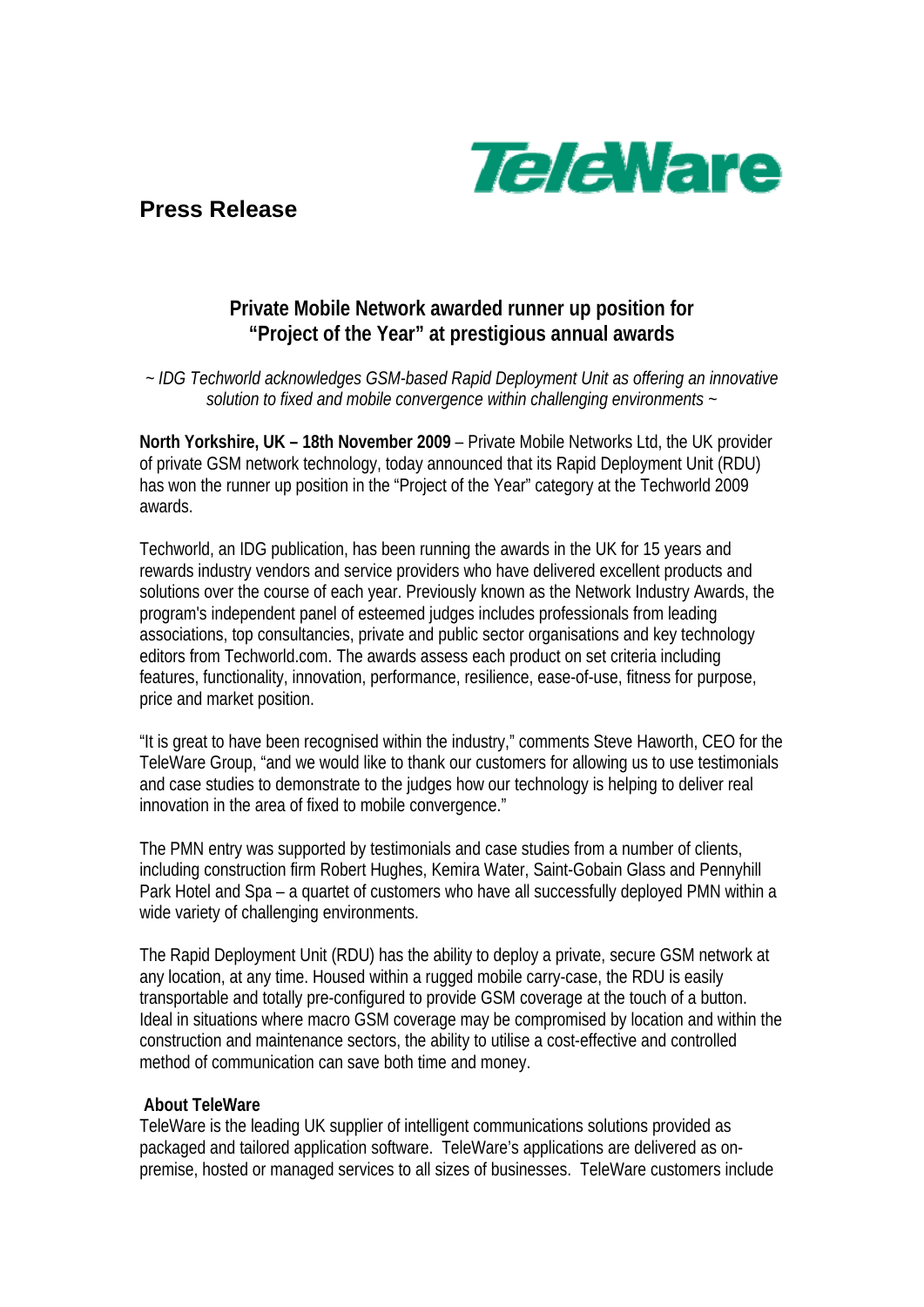

**Press Release** 

## **Private Mobile Network awarded runner up position for "Project of the Year" at prestigious annual awards**

*~ IDG Techworld acknowledges GSM-based Rapid Deployment Unit as offering an innovative solution to fixed and mobile convergence within challenging environments ~* 

**North Yorkshire, UK – 18th November 2009** – Private Mobile Networks Ltd, the UK provider of private GSM network technology, today announced that its Rapid Deployment Unit (RDU) has won the runner up position in the "Project of the Year" category at the Techworld 2009 awards.

Techworld, an IDG publication, has been running the awards in the UK for 15 years and rewards industry vendors and service providers who have delivered excellent products and solutions over the course of each year. Previously known as the Network Industry Awards, the program's independent panel of esteemed judges includes professionals from leading associations, top consultancies, private and public sector organisations and key technology editors from Techworld.com. The awards assess each product on set criteria including features, functionality, innovation, performance, resilience, ease-of-use, fitness for purpose, price and market position.

"It is great to have been recognised within the industry," comments Steve Haworth, CEO for the TeleWare Group, "and we would like to thank our customers for allowing us to use testimonials and case studies to demonstrate to the judges how our technology is helping to deliver real innovation in the area of fixed to mobile convergence."

The PMN entry was supported by testimonials and case studies from a number of clients, including construction firm Robert Hughes, Kemira Water, Saint-Gobain Glass and Pennyhill Park Hotel and Spa – a quartet of customers who have all successfully deployed PMN within a wide variety of challenging environments.

The Rapid Deployment Unit (RDU) has the ability to deploy a private, secure GSM network at any location, at any time. Housed within a rugged mobile carry-case, the RDU is easily transportable and totally pre-configured to provide GSM coverage at the touch of a button. Ideal in situations where macro GSM coverage may be compromised by location and within the construction and maintenance sectors, the ability to utilise a cost-effective and controlled method of communication can save both time and money.

## **About TeleWare**

TeleWare is the leading UK supplier of intelligent communications solutions provided as packaged and tailored application software. TeleWare's applications are delivered as onpremise, hosted or managed services to all sizes of businesses. TeleWare customers include